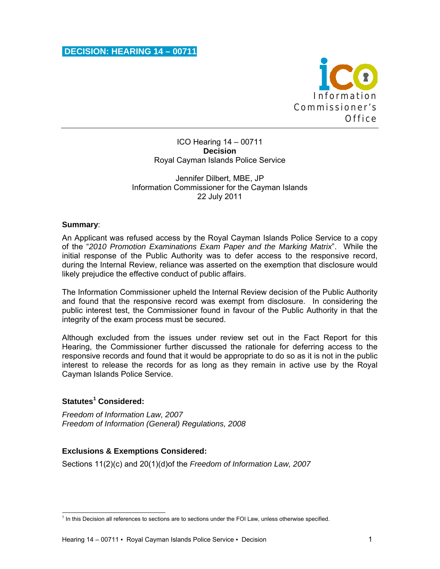

ICO Hearing 14 – 00711 **Decision**  Royal Cayman Islands Police Service

### Jennifer Dilbert, MBE, JP Information Commissioner for the Cayman Islands 22 July 2011

#### **Summary**:

An Applicant was refused access by the Royal Cayman Islands Police Service to a copy of the "*2010 Promotion Examinations Exam Paper and the Marking Matrix*". While the initial response of the Public Authority was to defer access to the responsive record, during the Internal Review, reliance was asserted on the exemption that disclosure would likely prejudice the effective conduct of public affairs.

The Information Commissioner upheld the Internal Review decision of the Public Authority and found that the responsive record was exempt from disclosure. In considering the public interest test, the Commissioner found in favour of the Public Authority in that the integrity of the exam process must be secured.

Although excluded from the issues under review set out in the Fact Report for this Hearing, the Commissioner further discussed the rationale for deferring access to the responsive records and found that it would be appropriate to do so as it is not in the public interest to release the records for as long as they remain in active use by the Royal Cayman Islands Police Service.

## **Statutes<sup>1</sup> Considered:**

*Freedom of Information Law, 2007 Freedom of Information (General) Regulations, 2008* 

## **Exclusions & Exemptions Considered:**

Sections 11(2)(c) and 20(1)(d)of the *Freedom of Information Law, 2007*

 1 In this Decision all references to sections are to sections under the FOI Law, unless otherwise specified.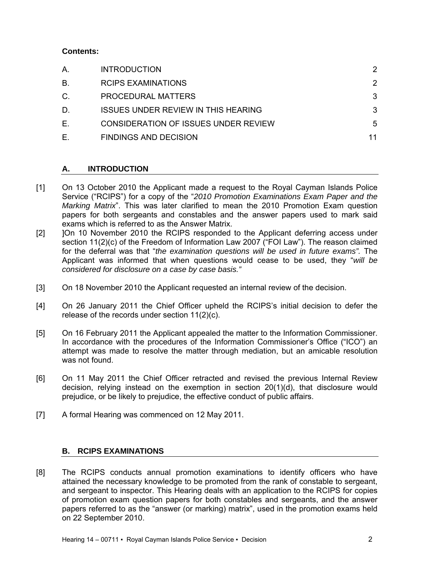## **Contents:**

| Α.          | <b>INTRODUCTION</b>                         | $\mathcal{P}$ |
|-------------|---------------------------------------------|---------------|
| В.          | <b>RCIPS EXAMINATIONS</b>                   | $\mathcal{P}$ |
| $C_{\cdot}$ | PROCEDURAL MATTERS                          | 3             |
| D.          | <b>ISSUES UNDER REVIEW IN THIS HEARING</b>  | 3             |
| Ε.          | <b>CONSIDERATION OF ISSUES UNDER REVIEW</b> | 5             |
| Е.          | <b>FINDINGS AND DECISION</b>                | 11            |

# **A. INTRODUCTION**

- [1] On 13 October 2010 the Applicant made a request to the Royal Cayman Islands Police Service ("RCIPS") for a copy of the "*2010 Promotion Examinations Exam Paper and the Marking Matrix*". This was later clarified to mean the 2010 Promotion Exam question papers for both sergeants and constables and the answer papers used to mark said exams which is referred to as the Answer Matrix.
- [2] ]On 10 November 2010 the RCIPS responded to the Applicant deferring access under section 11(2)(c) of the Freedom of Information Law 2007 ("FOI Law"). The reason claimed for the deferral was that "*the examination questions will be used in future exams".* The Applicant was informed that when questions would cease to be used, they "*will be considered for disclosure on a case by case basis."*
- [3] On 18 November 2010 the Applicant requested an internal review of the decision.
- [4] On 26 January 2011 the Chief Officer upheld the RCIPS's initial decision to defer the release of the records under section 11(2)(c).
- [5] On 16 February 2011 the Applicant appealed the matter to the Information Commissioner. In accordance with the procedures of the Information Commissioner's Office ("ICO") an attempt was made to resolve the matter through mediation, but an amicable resolution was not found.
- [6] On 11 May 2011 the Chief Officer retracted and revised the previous Internal Review decision, relying instead on the exemption in section 20(1)(d), that disclosure would prejudice, or be likely to prejudice, the effective conduct of public affairs.
- [7] A formal Hearing was commenced on 12 May 2011.

## **B. RCIPS EXAMINATIONS**

[8] The RCIPS conducts annual promotion examinations to identify officers who have attained the necessary knowledge to be promoted from the rank of constable to sergeant, and sergeant to inspector. This Hearing deals with an application to the RCIPS for copies of promotion exam question papers for both constables and sergeants, and the answer papers referred to as the "answer (or marking) matrix", used in the promotion exams held on 22 September 2010.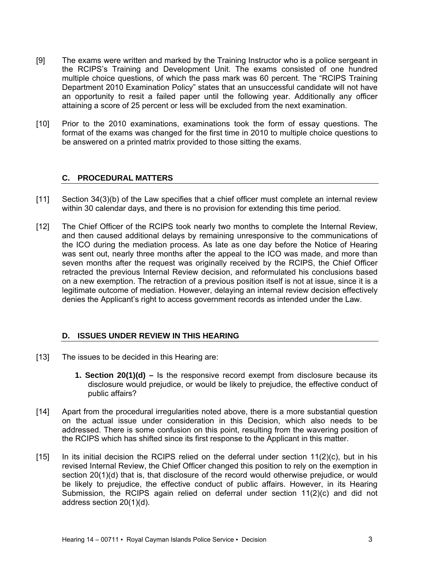- [9] The exams were written and marked by the Training Instructor who is a police sergeant in the RCIPS's Training and Development Unit. The exams consisted of one hundred multiple choice questions, of which the pass mark was 60 percent. The "RCIPS Training Department 2010 Examination Policy" states that an unsuccessful candidate will not have an opportunity to resit a failed paper until the following year. Additionally any officer attaining a score of 25 percent or less will be excluded from the next examination.
- [10] Prior to the 2010 examinations, examinations took the form of essay questions. The format of the exams was changed for the first time in 2010 to multiple choice questions to be answered on a printed matrix provided to those sitting the exams.

## **C. PROCEDURAL MATTERS**

- [11] Section 34(3)(b) of the Law specifies that a chief officer must complete an internal review within 30 calendar days, and there is no provision for extending this time period.
- [12] The Chief Officer of the RCIPS took nearly two months to complete the Internal Review, and then caused additional delays by remaining unresponsive to the communications of the ICO during the mediation process. As late as one day before the Notice of Hearing was sent out, nearly three months after the appeal to the ICO was made, and more than seven months after the request was originally received by the RCIPS, the Chief Officer retracted the previous Internal Review decision, and reformulated his conclusions based on a new exemption. The retraction of a previous position itself is not at issue, since it is a legitimate outcome of mediation. However, delaying an internal review decision effectively denies the Applicant's right to access government records as intended under the Law.

## **D. ISSUES UNDER REVIEW IN THIS HEARING**

- [13] The issues to be decided in this Hearing are:
	- **1. Section 20(1)(d) –** Is the responsive record exempt from disclosure because its disclosure would prejudice, or would be likely to prejudice, the effective conduct of public affairs?
- [14] Apart from the procedural irregularities noted above, there is a more substantial question on the actual issue under consideration in this Decision, which also needs to be addressed. There is some confusion on this point, resulting from the wavering position of the RCIPS which has shifted since its first response to the Applicant in this matter.
- $[15]$  In its initial decision the RCIPS relied on the deferral under section  $(11)(2)(c)$ , but in his revised Internal Review, the Chief Officer changed this position to rely on the exemption in section 20(1)(d) that is, that disclosure of the record would otherwise prejudice, or would be likely to prejudice, the effective conduct of public affairs. However, in its Hearing Submission, the RCIPS again relied on deferral under section 11(2)(c) and did not address section 20(1)(d).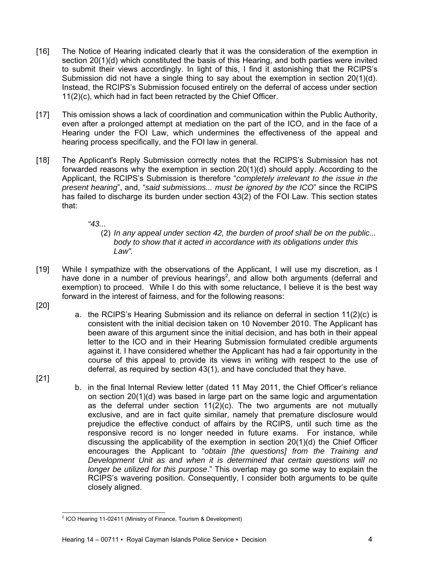- [16] The Notice of Hearing indicated clearly that it was the consideration of the exemption in section 20(1)(d) which constituted the basis of this Hearing, and both parties were invited to submit their views accordingly. In light of this, I find it astonishing that the RCIPS's Submission did not have a single thing to say about the exemption in section  $20(1)(d)$ . Instead, the RCIPS's Submission focused entirely on the deferral of access under section 11(2)(c), which had in fact been retracted by the Chief Officer.
- [17] This omission shows a lack of coordination and communication within the Public Authority, even after a prolonged attempt at mediation on the part of the ICO, and in the face of a Hearing under the FOI Law, which undermines the effectiveness of the appeal and hearing process specifically, and the FOI law in general.
- [18] The Applicant's Reply Submission correctly notes that the RCIPS's Submission has not forwarded reasons why the exemption in section 20(1)(d) should apply. According to the Applicant, the RCIPS's Submission is therefore "*completely irrelevant to the issue in the present hearing*", and, "*said submissions... must be ignored by the ICO*" since the RCIPS has failed to discharge its burden under section 43(2) of the FOI Law. This section states that:
	- *"43...*

(2) *In any appeal under section 42, the burden of proof shall be on the public... body to show that it acted in accordance with its obligations under this Law".*

- [19] While I sympathize with the observations of the Applicant, I will use my discretion, as I have done in a number of previous hearings<sup>2</sup>, and allow both arguments (deferral and exemption) to proceed. While I do this with some reluctance, I believe it is the best way forward in the interest of fairness, and for the following reasons:
- [20]

[21]

a. the RCIPS's Hearing Submission and its reliance on deferral in section 11(2)(c) is consistent with the initial decision taken on 10 November 2010. The Applicant has been aware of this argument since the initial decision, and has both in their appeal letter to the ICO and in their Hearing Submission formulated credible arguments against it. I have considered whether the Applicant has had a fair opportunity in the course of this appeal to provide its views in writing with respect to the use of deferral, as required by section 43(1), and have concluded that they have.

b. in the final Internal Review letter (dated 11 May 2011, the Chief Officer's reliance on section 20(1)(d) was based in large part on the same logic and argumentation as the deferral under section  $11(2)(c)$ . The two arguments are not mutually exclusive, and are in fact quite similar, namely that premature disclosure would prejudice the effective conduct of affairs by the RCIPS, until such time as the responsive record is no longer needed in future exams. For instance, while discussing the applicability of the exemption in section 20(1)(d) the Chief Officer encourages the Applicant to "*obtain [the questions] from the Training and Development Unit as and when it is determined that certain questions will no longer be utilized for this purpose*." This overlap may go some way to explain the RCIPS's wavering position. Consequently, I consider both arguments to be quite closely aligned.

 2 ICO Hearing 11-02411 (Ministry of Finance, Tourism & Development)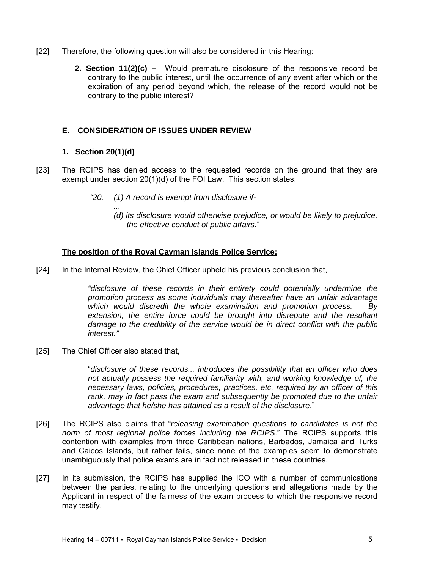- [22] Therefore, the following question will also be considered in this Hearing:
	- **2. Section 11(2)(c) –** Would premature disclosure of the responsive record be contrary to the public interest, until the occurrence of any event after which or the expiration of any period beyond which, the release of the record would not be contrary to the public interest?

### **E. CONSIDERATION OF ISSUES UNDER REVIEW**

#### **1. Section 20(1)(d)**

- [23] The RCIPS has denied access to the requested records on the ground that they are exempt under section 20(1)(d) of the FOI Law. This section states:
	- *"20. (1) A record is exempt from disclosure if-* 
		- *... (d) its disclosure would otherwise prejudice, or would be likely to prejudice, the effective conduct of public affairs.*"

#### **The position of the Royal Cayman Islands Police Service:**

[24] In the Internal Review, the Chief Officer upheld his previous conclusion that,

*"disclosure of these records in their entirety could potentially undermine the promotion process as some individuals may thereafter have an unfair advantage which would discredit the whole examination and promotion process. By extension, the entire force could be brought into disrepute and the resultant damage to the credibility of the service would be in direct conflict with the public interest."* 

[25] The Chief Officer also stated that,

"*disclosure of these records... introduces the possibility that an officer who does not actually possess the required familiarity with, and working knowledge of, the necessary laws, policies, procedures, practices, etc. required by an officer of this*  rank, may in fact pass the exam and subsequently be promoted due to the unfair *advantage that he/she has attained as a result of the disclosure*."

- [26] The RCIPS also claims that "*releasing examination questions to candidates is not the norm of most regional police forces including the RCIPS*." The RCIPS supports this contention with examples from three Caribbean nations, Barbados, Jamaica and Turks and Caicos Islands, but rather fails, since none of the examples seem to demonstrate unambiguously that police exams are in fact not released in these countries.
- [27] In its submission, the RCIPS has supplied the ICO with a number of communications between the parties, relating to the underlying questions and allegations made by the Applicant in respect of the fairness of the exam process to which the responsive record may testify.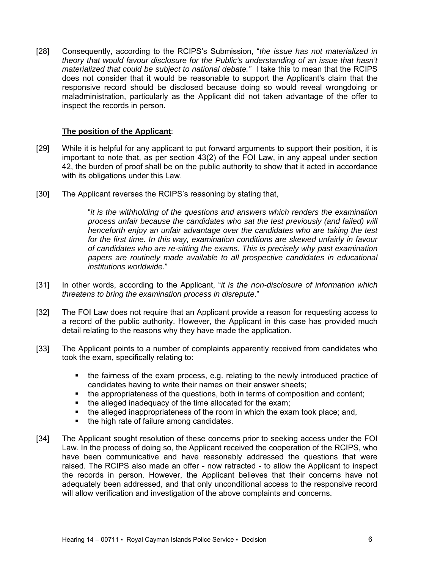[28] Consequently, according to the RCIPS's Submission, "*the issue has not materialized in theory that would favour disclosure for the Public's understanding of an issue that hasn't materialized that could be subject to national debate."* I take this to mean that the RCIPS does not consider that it would be reasonable to support the Applicant's claim that the responsive record should be disclosed because doing so would reveal wrongdoing or maladministration, particularly as the Applicant did not taken advantage of the offer to inspect the records in person.

#### **The position of the Applicant**:

- [29] While it is helpful for any applicant to put forward arguments to support their position, it is important to note that, as per section 43(2) of the FOI Law, in any appeal under section 42, the burden of proof shall be on the public authority to show that it acted in accordance with its obligations under this Law.
- [30] The Applicant reverses the RCIPS's reasoning by stating that,

"*it is the withholding of the questions and answers which renders the examination process unfair because the candidates who sat the test previously (and failed) will henceforth enjoy an unfair advantage over the candidates who are taking the test*  for the first time. In this way, examination conditions are skewed unfairly in favour *of candidates who are re-sitting the exams. This is precisely why past examination papers are routinely made available to all prospective candidates in educational institutions worldwide.*"

- [31] In other words, according to the Applicant, "*it is the non-disclosure of information which threatens to bring the examination process in disrepute*."
- [32] The FOI Law does not require that an Applicant provide a reason for requesting access to a record of the public authority. However, the Applicant in this case has provided much detail relating to the reasons why they have made the application.
- [33] The Applicant points to a number of complaints apparently received from candidates who took the exam, specifically relating to:
	- the fairness of the exam process, e.g. relating to the newly introduced practice of candidates having to write their names on their answer sheets;
	- the appropriateness of the questions, both in terms of composition and content;
	- the alleged inadequacy of the time allocated for the exam;
	- the alleged inappropriateness of the room in which the exam took place; and,
	- the high rate of failure among candidates.
- [34] The Applicant sought resolution of these concerns prior to seeking access under the FOI Law. In the process of doing so, the Applicant received the cooperation of the RCIPS, who have been communicative and have reasonably addressed the questions that were raised. The RCIPS also made an offer - now retracted - to allow the Applicant to inspect the records in person. However, the Applicant believes that their concerns have not adequately been addressed, and that only unconditional access to the responsive record will allow verification and investigation of the above complaints and concerns.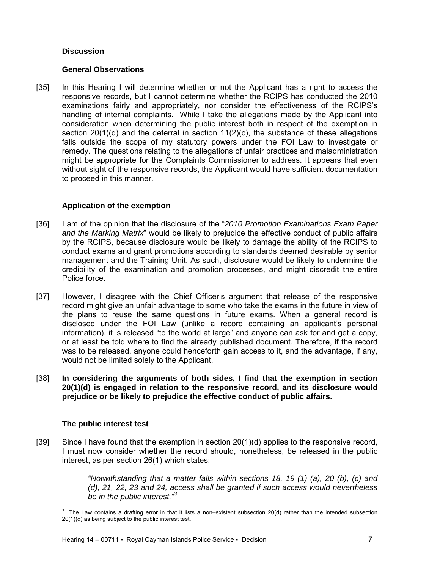### **Discussion**

#### **General Observations**

[35] In this Hearing I will determine whether or not the Applicant has a right to access the responsive records, but I cannot determine whether the RCIPS has conducted the 2010 examinations fairly and appropriately, nor consider the effectiveness of the RCIPS's handling of internal complaints. While I take the allegations made by the Applicant into consideration when determining the public interest both in respect of the exemption in section 20(1)(d) and the deferral in section 11(2)(c), the substance of these allegations falls outside the scope of my statutory powers under the FOI Law to investigate or remedy. The questions relating to the allegations of unfair practices and maladministration might be appropriate for the Complaints Commissioner to address. It appears that even without sight of the responsive records, the Applicant would have sufficient documentation to proceed in this manner.

## **Application of the exemption**

- [36] I am of the opinion that the disclosure of the "*2010 Promotion Examinations Exam Paper and the Marking Matrix*" would be likely to prejudice the effective conduct of public affairs by the RCIPS, because disclosure would be likely to damage the ability of the RCIPS to conduct exams and grant promotions according to standards deemed desirable by senior management and the Training Unit. As such, disclosure would be likely to undermine the credibility of the examination and promotion processes, and might discredit the entire Police force.
- [37] However, I disagree with the Chief Officer's argument that release of the responsive record might give an unfair advantage to some who take the exams in the future in view of the plans to reuse the same questions in future exams. When a general record is disclosed under the FOI Law (unlike a record containing an applicant's personal information), it is released "to the world at large" and anyone can ask for and get a copy, or at least be told where to find the already published document. Therefore, if the record was to be released, anyone could henceforth gain access to it, and the advantage, if any, would not be limited solely to the Applicant.
- [38] **In considering the arguments of both sides, I find that the exemption in section 20(1)(d) is engaged in relation to the responsive record, and its disclosure would prejudice or be likely to prejudice the effective conduct of public affairs.**

# **The public interest test**

[39] Since I have found that the exemption in section 20(1)(d) applies to the responsive record, I must now consider whether the record should, nonetheless, be released in the public interest, as per section 26(1) which states:

> *"Notwithstanding that a matter falls within sections 18, 19 (1) (a), 20 (b), (c) and (d), 21, 22, 23 and 24, access shall be granted if such access would nevertheless be in the public interest."<sup>3</sup>*

l <sup>3</sup> The Law contains a drafting error in that it lists a non–existent subsection 20(d) rather than the intended subsection 20(1)(d) as being subject to the public interest test.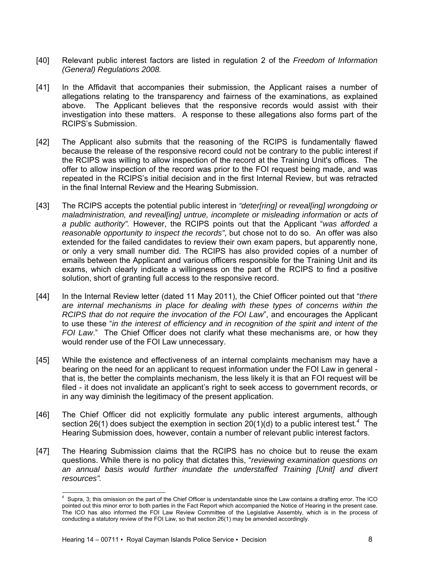- [40] Relevant public interest factors are listed in regulation 2 of the *Freedom of Information (General) Regulations 2008.*
- [41] In the Affidavit that accompanies their submission, the Applicant raises a number of allegations relating to the transparency and fairness of the examinations, as explained above. The Applicant believes that the responsive records would assist with their investigation into these matters. A response to these allegations also forms part of the RCIPS's Submission.
- [42] The Applicant also submits that the reasoning of the RCIPS is fundamentally flawed because the release of the responsive record could not be contrary to the public interest if the RCIPS was willing to allow inspection of the record at the Training Unit's offices. The offer to allow inspection of the record was prior to the FOI request being made, and was repeated in the RCIPS's initial decision and in the first Internal Review, but was retracted in the final Internal Review and the Hearing Submission.
- [43] The RCIPS accepts the potential public interest in *"deter[ring] or reveal[ing] wrongdoing or maladministration, and reveal[ing] untrue, incomplete or misleading information or acts of a public authority".* However, the RCIPS points out that the Applicant "*was afforded a reasonable opportunity to inspect the records"*, but chose not to do so. An offer was also extended for the failed candidates to review their own exam papers, but apparently none, or only a very small number did. The RCIPS has also provided copies of a number of emails between the Applicant and various officers responsible for the Training Unit and its exams, which clearly indicate a willingness on the part of the RCIPS to find a positive solution, short of granting full access to the responsive record.
- [44] In the Internal Review letter (dated 11 May 2011), the Chief Officer pointed out that "*there are internal mechanisms in place for dealing with these types of concerns within the RCIPS that do not require the invocation of the FOI Law*", and encourages the Applicant to use these "*in the interest of efficiency and in recognition of the spirit and intent of the FOI Law*." The Chief Officer does not clarify what these mechanisms are, or how they would render use of the FOI Law unnecessary.
- [45] While the existence and effectiveness of an internal complaints mechanism may have a bearing on the need for an applicant to request information under the FOI Law in general that is, the better the complaints mechanism, the less likely it is that an FOI request will be filed - it does not invalidate an applicant's right to seek access to government records, or in any way diminish the legitimacy of the present application.
- [46] The Chief Officer did not explicitly formulate any public interest arguments, although section 26(1) does subject the exemption in section 20(1)(d) to a public interest test.<sup>4</sup> The Hearing Submission does, however, contain a number of relevant public interest factors.
- [47] The Hearing Submission claims that the RCIPS has no choice but to reuse the exam questions. While there is no policy that dictates this, "*reviewing examination questions on*  an annual basis would further inundate the understaffed Training [Unit] and divert *resources".*

 4 Supra, 3; this omission on the part of the Chief Officer is understandable since the Law contains a drafting error. The ICO pointed out this minor error to both parties in the Fact Report which accompanied the Notice of Hearing in the present case. The ICO has also informed the FOI Law Review Committee of the Legislative Assembly, which is in the process of conducting a statutory review of the FOI Law, so that section 26(1) may be amended accordingly.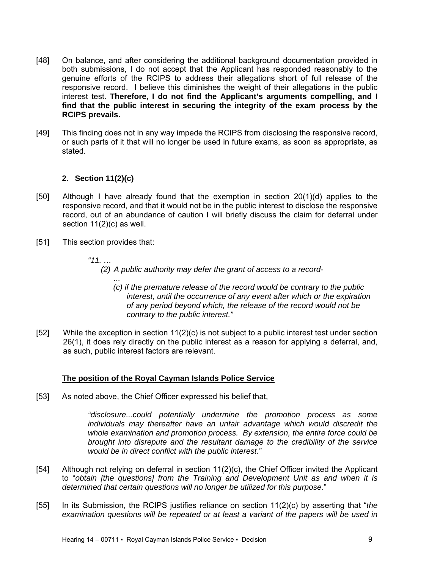- [48] On balance, and after considering the additional background documentation provided in both submissions, I do not accept that the Applicant has responded reasonably to the genuine efforts of the RCIPS to address their allegations short of full release of the responsive record. I believe this diminishes the weight of their allegations in the public interest test. **Therefore, I do not find the Applicant's arguments compelling, and I find that the public interest in securing the integrity of the exam process by the RCIPS prevails.**
- [49] This finding does not in any way impede the RCIPS from disclosing the responsive record, or such parts of it that will no longer be used in future exams, as soon as appropriate, as stated.

## **2. Section 11(2)(c)**

- [50] Although I have already found that the exemption in section 20(1)(d) applies to the responsive record, and that it would not be in the public interest to disclose the responsive record, out of an abundance of caution I will briefly discuss the claim for deferral under section 11(2)(c) as well.
- [51] This section provides that:
	- *"11. …*

*(2) A public authority may defer the grant of access to a record-* 

- *... (c) if the premature release of the record would be contrary to the public interest, until the occurrence of any event after which or the expiration of any period beyond which, the release of the record would not be contrary to the public interest."*
- [52] While the exception in section 11(2)(c) is not subject to a public interest test under section 26(1), it does rely directly on the public interest as a reason for applying a deferral, and, as such, public interest factors are relevant.

## **The position of the Royal Cayman Islands Police Service**

[53] As noted above, the Chief Officer expressed his belief that,

*"disclosure...could potentially undermine the promotion process as some individuals may thereafter have an unfair advantage which would discredit the whole examination and promotion process. By extension, the entire force could be brought into disrepute and the resultant damage to the credibility of the service would be in direct conflict with the public interest."*

- [54] Although not relying on deferral in section 11(2)(c), the Chief Officer invited the Applicant to "*obtain [the questions] from the Training and Development Unit as and when it is determined that certain questions will no longer be utilized for this purpose*."
- [55] In its Submission, the RCIPS justifies reliance on section 11(2)(c) by asserting that "*the examination questions will be repeated or at least a variant of the papers will be used in*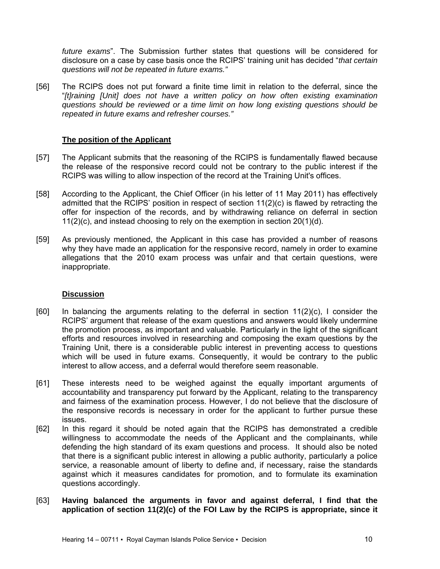*future exams*". The Submission further states that questions will be considered for disclosure on a case by case basis once the RCIPS' training unit has decided "*that certain questions will not be repeated in future exams."* 

[56] The RCIPS does not put forward a finite time limit in relation to the deferral, since the "*[t]raining [Unit] does not have a written policy on how often existing examination questions should be reviewed or a time limit on how long existing questions should be repeated in future exams and refresher courses."* 

## **The position of the Applicant**

- [57] The Applicant submits that the reasoning of the RCIPS is fundamentally flawed because the release of the responsive record could not be contrary to the public interest if the RCIPS was willing to allow inspection of the record at the Training Unit's offices.
- [58] According to the Applicant, the Chief Officer (in his letter of 11 May 2011) has effectively admitted that the RCIPS' position in respect of section 11(2)(c) is flawed by retracting the offer for inspection of the records, and by withdrawing reliance on deferral in section 11(2)(c), and instead choosing to rely on the exemption in section 20(1)(d).
- [59] As previously mentioned, the Applicant in this case has provided a number of reasons why they have made an application for the responsive record, namely in order to examine allegations that the 2010 exam process was unfair and that certain questions, were inappropriate.

#### **Discussion**

- $[60]$  In balancing the arguments relating to the deferral in section 11(2)(c), I consider the RCIPS' argument that release of the exam questions and answers would likely undermine the promotion process, as important and valuable. Particularly in the light of the significant efforts and resources involved in researching and composing the exam questions by the Training Unit, there is a considerable public interest in preventing access to questions which will be used in future exams. Consequently, it would be contrary to the public interest to allow access, and a deferral would therefore seem reasonable.
- [61] These interests need to be weighed against the equally important arguments of accountability and transparency put forward by the Applicant, relating to the transparency and fairness of the examination process. However, I do not believe that the disclosure of the responsive records is necessary in order for the applicant to further pursue these issues.
- [62] In this regard it should be noted again that the RCIPS has demonstrated a credible willingness to accommodate the needs of the Applicant and the complainants, while defending the high standard of its exam questions and process. It should also be noted that there is a significant public interest in allowing a public authority, particularly a police service, a reasonable amount of liberty to define and, if necessary, raise the standards against which it measures candidates for promotion, and to formulate its examination questions accordingly.
- [63] **Having balanced the arguments in favor and against deferral, I find that the application of section 11(2)(c) of the FOI Law by the RCIPS is appropriate, since it**